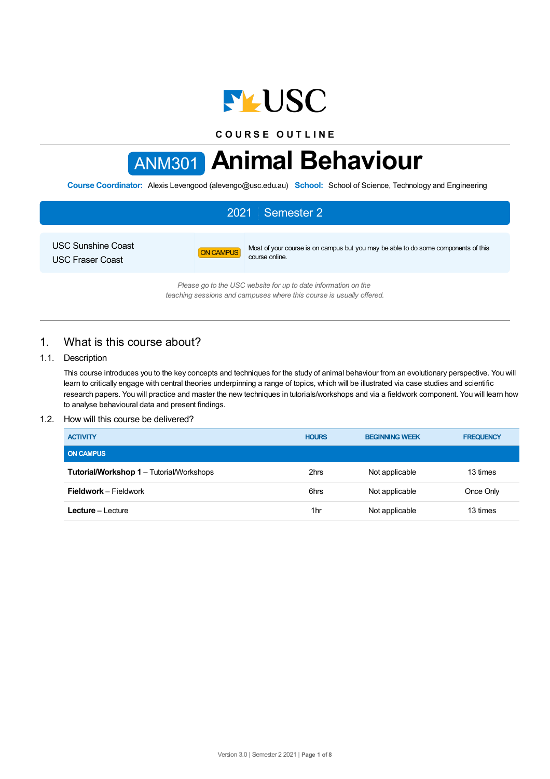

**C O U R S E O U T L I N E**

# ANM301 **Animal Behaviour**

**Course Coordinator:** Alexis Levengood (alevengo@usc.edu.au) **School:** School of Science, Technology and Engineering

## 2021 Semester 2

USC Sunshine Coast USC Fraser Coast

ON CAMPUS Most of your course is on campus but you may be able to do some components of this course online.

*Please go to the USC website for up to date information on the teaching sessions and campuses where this course is usually offered.*

## 1. What is this course about?

## 1.1. Description

This course introduces you to the key concepts and techniques for the study of animal behaviour from an evolutionary perspective. You will learn to critically engage with central theories underpinning a range of topics, which will be illustrated via case studies and scientific research papers. You will practice and master the new techniques in tutorials/workshops and via a fieldwork component. You will learn how to analyse behavioural data and present findings.

## 1.2. How will this course be delivered?

| <b>ACTIVITY</b>                                 | <b>HOURS</b> | <b>BEGINNING WEEK</b> | <b>FREQUENCY</b> |
|-------------------------------------------------|--------------|-----------------------|------------------|
| <b>ON CAMPUS</b>                                |              |                       |                  |
| <b>Tutorial/Workshop 1 - Tutorial/Workshops</b> | 2hrs         | Not applicable        | 13 times         |
| <b>Fieldwork</b> – Fieldwork                    | 6hrs         | Not applicable        | Once Only        |
| <b>Lecture</b> – Lecture                        | 1hr          | Not applicable        | 13 times         |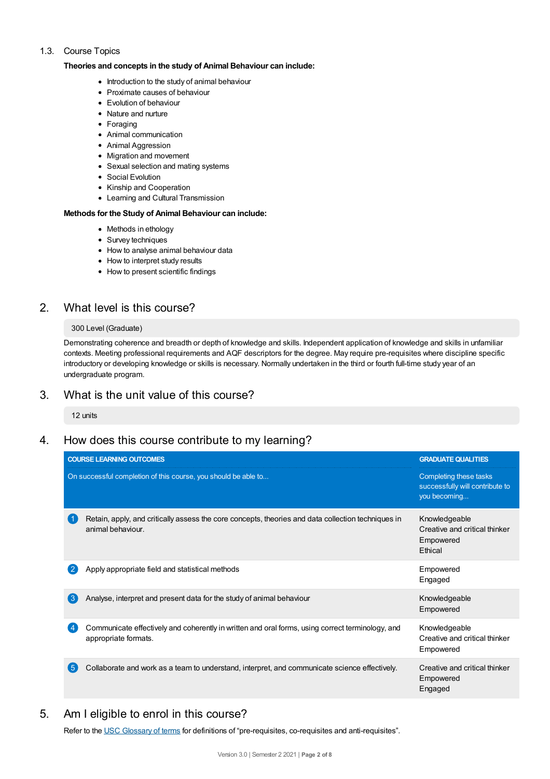## 1.3. Course Topics

#### **Theories and concepts in the study of Animal Behaviour can include:**

- Introduction to the study of animal behaviour
- Proximate causes of behaviour
- Evolution of behaviour
- Nature and nurture
- Foraging
- Animal communication
- Animal Aggression
- Migration and movement
- Sexual selection and mating systems
- Social Evolution
- Kinship and Cooperation
- Learning and Cultural Transmission

#### **Methods for the Study of Animal Behaviour can include:**

- Methods in ethology
- Survey techniques
- How to analyse animal behaviour data
- How to interpret study results
- How to present scientific findings

## 2. What level is this course?

#### 300 Level (Graduate)

Demonstrating coherence and breadth or depth of knowledge and skills. Independent application of knowledge and skills in unfamiliar contexts. Meeting professional requirements and AQF descriptors for the degree. May require pre-requisites where discipline specific introductory or developing knowledge or skills is necessary. Normally undertaken in the third or fourth full-time study year of an undergraduate program.

## 3. What is the unit value of this course?

12 units

## 4. How does this course contribute to my learning?

| <b>COURSE LEARNING OUTCOMES</b>                                                                                          | <b>GRADUATE QUALITIES</b>                                                 |
|--------------------------------------------------------------------------------------------------------------------------|---------------------------------------------------------------------------|
| On successful completion of this course, you should be able to                                                           | Completing these tasks<br>successfully will contribute to<br>you becoming |
| Retain, apply, and critically assess the core concepts, theories and data collection techniques in<br>animal behaviour.  | Knowledgeable<br>Creative and critical thinker<br>Empowered<br>Ethical    |
| Apply appropriate field and statistical methods                                                                          | Empowered<br>Engaged                                                      |
| $\mathbf{3}$<br>Analyse, interpret and present data for the study of animal behaviour                                    | Knowledgeable<br>Empowered                                                |
| Communicate effectively and coherently in written and oral forms, using correct terminology, and<br>appropriate formats. | Knowledgeable<br>Creative and critical thinker<br>Empowered               |
| 5 <sup>5</sup><br>Collaborate and work as a team to understand, interpret, and communicate science effectively.          | Creative and critical thinker<br>Empowered<br>Engaged                     |

## 5. Am Ieligible to enrol in this course?

Refer to the USC [Glossary](https://www.usc.edu.au/about/policies-and-procedures/glossary-of-terms-for-policy-and-procedures) of terms for definitions of "pre-requisites, co-requisites and anti-requisites".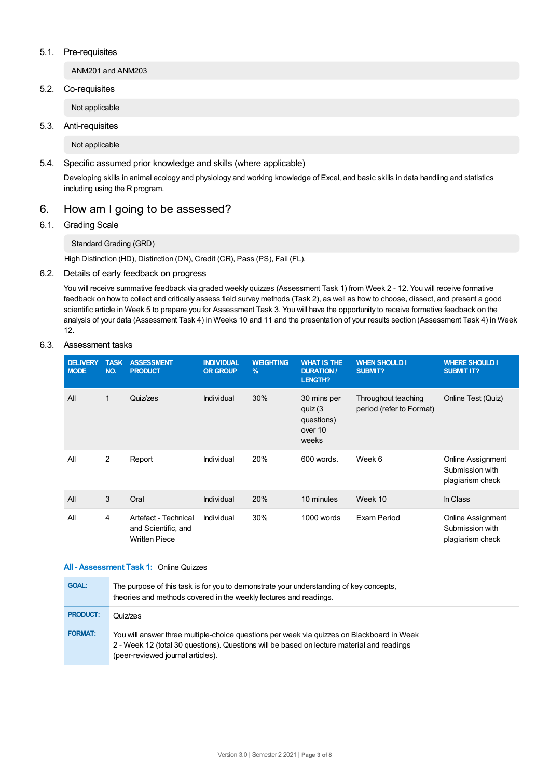#### 5.1. Pre-requisites

ANM201 and ANM203

5.2. Co-requisites

Not applicable

5.3. Anti-requisites

Not applicable

5.4. Specific assumed prior knowledge and skills (where applicable)

Developing skills in animal ecology and physiology and working knowledge of Excel, and basic skills in data handling and statistics including using the R program.

## 6. How am Igoing to be assessed?

## 6.1. Grading Scale

Standard Grading (GRD)

High Distinction (HD), Distinction (DN), Credit (CR), Pass (PS), Fail (FL).

## 6.2. Details of early feedback on progress

You will receive summative feedback via graded weekly quizzes (Assessment Task 1) from Week 2 - 12. You will receive formative feedback on how to collect and critically assess field survey methods (Task 2), as well as how to choose, dissect, and present a good scientific article in Week 5 to prepare you for Assessment Task 3. You will have the opportunity to receive formative feedback on the analysis of your data (Assessment Task 4) in Weeks 10 and 11 and the presentation of your results section (Assessment Task 4) in Week 12.

#### 6.3. Assessment tasks

| <b>DELIVERY</b><br><b>MODE</b> | <b>TASK</b><br>NO. | <b>ASSESSMENT</b><br><b>PRODUCT</b>                                 | <b>INDIVIDUAL</b><br><b>OR GROUP</b> | <b>WEIGHTING</b><br>$\frac{9}{6}$ | <b>WHAT IS THE</b><br><b>DURATION /</b><br>LENGTH?       | <b>WHEN SHOULD I</b><br><b>SUBMIT?</b>          | <b>WHERE SHOULD I</b><br><b>SUBMIT IT?</b>               |
|--------------------------------|--------------------|---------------------------------------------------------------------|--------------------------------------|-----------------------------------|----------------------------------------------------------|-------------------------------------------------|----------------------------------------------------------|
| All                            | 1                  | Quiz/zes                                                            | Individual                           | 30%                               | 30 mins per<br>quiz (3<br>questions)<br>over 10<br>weeks | Throughout teaching<br>period (refer to Format) | Online Test (Quiz)                                       |
| All                            | 2                  | Report                                                              | Individual                           | 20%                               | 600 words.                                               | Week 6                                          | Online Assignment<br>Submission with<br>plagiarism check |
| All                            | 3                  | Oral                                                                | Individual                           | 20%                               | 10 minutes                                               | Week 10                                         | In Class                                                 |
| All                            | 4                  | Artefact - Technical<br>and Scientific, and<br><b>Written Piece</b> | Individual                           | 30%                               | 1000 words                                               | Exam Period                                     | Online Assignment<br>Submission with<br>plagiarism check |

## **All - Assessment Task 1:** Online Quizzes

| <b>GOAL:</b>    | The purpose of this task is for you to demonstrate your understanding of key concepts,<br>theories and methods covered in the weekly lectures and readings.                                                                   |
|-----------------|-------------------------------------------------------------------------------------------------------------------------------------------------------------------------------------------------------------------------------|
| <b>PRODUCT:</b> | Quiz/zes                                                                                                                                                                                                                      |
| <b>FORMAT:</b>  | You will answer three multiple-choice questions per week via quizzes on Blackboard in Week<br>2 - Week 12 (total 30 questions). Questions will be based on lecture material and readings<br>(peer-reviewed journal articles). |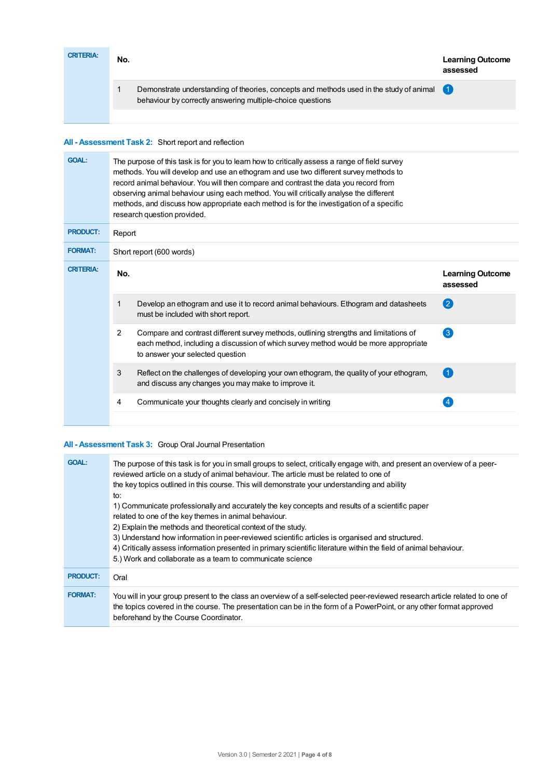| <b>CRITERIA:</b> | No. |                                                                                                                                                       | <b>Learning Outcome</b><br>assessed |
|------------------|-----|-------------------------------------------------------------------------------------------------------------------------------------------------------|-------------------------------------|
|                  |     | Demonstrate understanding of theories, concepts and methods used in the study of animal<br>behaviour by correctly answering multiple-choice questions |                                     |
|                  |     |                                                                                                                                                       |                                     |

## **All - Assessment Task 2:** Short report and reflection

| <b>GOAL:</b>     | The purpose of this task is for you to learn how to critically assess a range of field survey<br>methods. You will develop and use an ethogram and use two different survey methods to<br>record animal behaviour. You will then compare and contrast the data you record from<br>observing animal behaviour using each method. You will critically analyse the different<br>methods, and discuss how appropriate each method is for the investigation of a specific<br>research question provided. |                                                                                                                                                                                                                   |                                     |  |  |  |
|------------------|-----------------------------------------------------------------------------------------------------------------------------------------------------------------------------------------------------------------------------------------------------------------------------------------------------------------------------------------------------------------------------------------------------------------------------------------------------------------------------------------------------|-------------------------------------------------------------------------------------------------------------------------------------------------------------------------------------------------------------------|-------------------------------------|--|--|--|
| <b>PRODUCT:</b>  | Report                                                                                                                                                                                                                                                                                                                                                                                                                                                                                              |                                                                                                                                                                                                                   |                                     |  |  |  |
| <b>FORMAT:</b>   |                                                                                                                                                                                                                                                                                                                                                                                                                                                                                                     | Short report (600 words)                                                                                                                                                                                          |                                     |  |  |  |
| <b>CRITERIA:</b> | No.                                                                                                                                                                                                                                                                                                                                                                                                                                                                                                 |                                                                                                                                                                                                                   | <b>Learning Outcome</b><br>assessed |  |  |  |
|                  | 1                                                                                                                                                                                                                                                                                                                                                                                                                                                                                                   | Develop an ethogram and use it to record animal behaviours. Ethogram and datasheets<br>must be included with short report.                                                                                        | $\left( 2\right)$                   |  |  |  |
|                  | $\overline{2}$                                                                                                                                                                                                                                                                                                                                                                                                                                                                                      | Compare and contrast different survey methods, outlining strengths and limitations of<br>each method, including a discussion of which survey method would be more appropriate<br>to answer your selected question | 3                                   |  |  |  |
|                  | 3                                                                                                                                                                                                                                                                                                                                                                                                                                                                                                   | Reflect on the challenges of developing your own ethogram, the quality of your ethogram,<br>and discuss any changes you may make to improve it.                                                                   | $\left( 1 \right)$                  |  |  |  |
|                  | 4                                                                                                                                                                                                                                                                                                                                                                                                                                                                                                   | Communicate your thoughts clearly and concisely in writing                                                                                                                                                        | 4                                   |  |  |  |

## **All - Assessment Task 3:** Group Oral Journal Presentation

| <b>GOAL:</b>    | The purpose of this task is for you in small groups to select, critically engage with, and present an overview of a peer-<br>reviewed article on a study of animal behaviour. The article must be related to one of<br>the key topics outlined in this course. This will demonstrate your understanding and ability<br>to:<br>1) Communicate professionally and accurately the key concepts and results of a scientific paper<br>related to one of the key themes in animal behaviour.<br>2) Explain the methods and theoretical context of the study.<br>3) Understand how information in peer-reviewed scientific articles is organised and structured.<br>4) Critically assess information presented in primary scientific literature within the field of animal behaviour.<br>5.) Work and collaborate as a team to communicate science |
|-----------------|---------------------------------------------------------------------------------------------------------------------------------------------------------------------------------------------------------------------------------------------------------------------------------------------------------------------------------------------------------------------------------------------------------------------------------------------------------------------------------------------------------------------------------------------------------------------------------------------------------------------------------------------------------------------------------------------------------------------------------------------------------------------------------------------------------------------------------------------|
| <b>PRODUCT:</b> | Oral                                                                                                                                                                                                                                                                                                                                                                                                                                                                                                                                                                                                                                                                                                                                                                                                                                        |
| <b>FORMAT:</b>  | You will in your group present to the class an overview of a self-selected peer-reviewed research article related to one of<br>the topics covered in the course. The presentation can be in the form of a PowerPoint, or any other format approved<br>beforehand by the Course Coordinator.                                                                                                                                                                                                                                                                                                                                                                                                                                                                                                                                                 |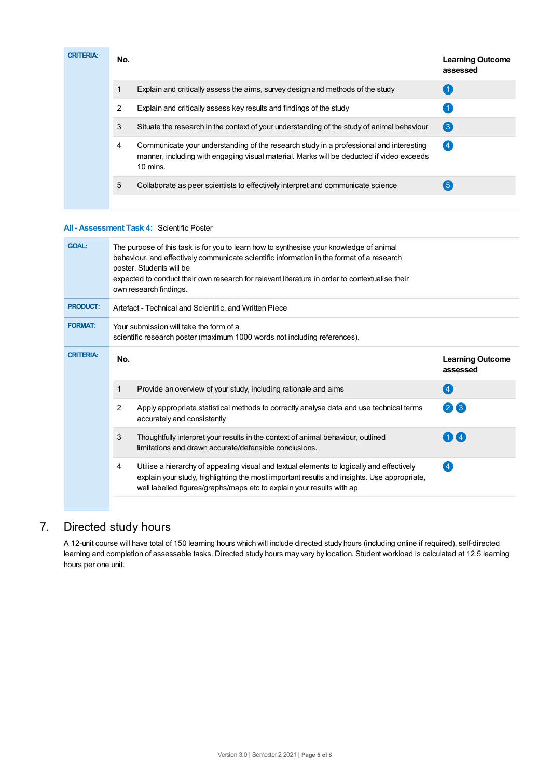| <b>CRITERIA:</b> | No. |                                                                                                                                                                                                  | <b>Learning Outcome</b><br>assessed |
|------------------|-----|--------------------------------------------------------------------------------------------------------------------------------------------------------------------------------------------------|-------------------------------------|
|                  |     | Explain and critically assess the aims, survey design and methods of the study                                                                                                                   |                                     |
|                  | 2   | Explain and critically assess key results and findings of the study                                                                                                                              |                                     |
|                  | 3   | Situate the research in the context of your understanding of the study of animal behaviour                                                                                                       | $\left(3\right)$                    |
|                  | 4   | Communicate your understanding of the research study in a professional and interesting<br>manner, including with engaging visual material. Marks will be deducted if video exceeds<br>$10$ mins. | $\left( 4 \right)$                  |
|                  | 5   | Collaborate as peer scientists to effectively interpret and communicate science                                                                                                                  | $\overline{5}$                      |
|                  |     |                                                                                                                                                                                                  |                                     |

## **All - Assessment Task 4:** Scientific Poster

| <b>GOAL:</b>     | The purpose of this task is for you to learn how to synthesise your knowledge of animal<br>behaviour, and effectively communicate scientific information in the format of a research<br>poster. Students will be<br>expected to conduct their own research for relevant literature in order to contextualise their<br>own research findings. |                                     |  |  |  |  |
|------------------|----------------------------------------------------------------------------------------------------------------------------------------------------------------------------------------------------------------------------------------------------------------------------------------------------------------------------------------------|-------------------------------------|--|--|--|--|
| <b>PRODUCT:</b>  | Artefact - Technical and Scientific, and Written Piece                                                                                                                                                                                                                                                                                       |                                     |  |  |  |  |
| <b>FORMAT:</b>   | Your submission will take the form of a<br>scientific research poster (maximum 1000 words not including references).                                                                                                                                                                                                                         |                                     |  |  |  |  |
| <b>CRITERIA:</b> | No.                                                                                                                                                                                                                                                                                                                                          | <b>Learning Outcome</b><br>assessed |  |  |  |  |
|                  | Provide an overview of your study, including rationale and aims<br>1                                                                                                                                                                                                                                                                         | $\left( 4\right)$                   |  |  |  |  |
|                  | 2<br>Apply appropriate statistical methods to correctly analyse data and use technical terms<br>accurately and consistently                                                                                                                                                                                                                  | $(2)$ $(3)$                         |  |  |  |  |
|                  | 3<br>Thoughtfully interpret your results in the context of animal behaviour, outlined<br>limitations and drawn accurate/defensible conclusions.                                                                                                                                                                                              | $1$ $\mathbf{I}$ 4                  |  |  |  |  |
|                  | Utilise a hierarchy of appealing visual and textual elements to logically and effectively<br>4<br>explain your study, highlighting the most important results and insights. Use appropriate,<br>well labelled figures/graphs/maps etc to explain your results with ap                                                                        | $\left 4\right $                    |  |  |  |  |
|                  |                                                                                                                                                                                                                                                                                                                                              |                                     |  |  |  |  |

## 7. Directed study hours

A 12-unit course will have total of 150 learning hours which will include directed study hours (including online if required), self-directed learning and completion of assessable tasks. Directed study hours may vary by location. Student workload is calculated at 12.5 learning hours per one unit.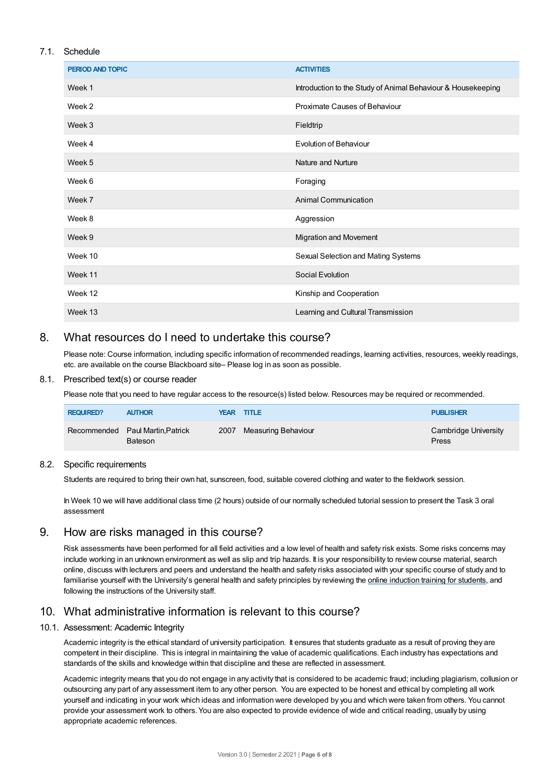## 7.1. Schedule

| <b>PERIOD AND TOPIC</b> | <b>ACTIVITIES</b>                                            |
|-------------------------|--------------------------------------------------------------|
| Week 1                  | Introduction to the Study of Animal Behaviour & Housekeeping |
| Week 2                  | Proximate Causes of Behaviour                                |
| Week 3                  | Fieldtrip                                                    |
| Week 4                  | <b>Evolution of Behaviour</b>                                |
| Week 5                  | Nature and Nurture                                           |
| Week 6                  | Foraging                                                     |
| Week 7                  | <b>Animal Communication</b>                                  |
| Week 8                  | Aggression                                                   |
| Week 9                  | Migration and Movement                                       |
| Week 10                 | Sexual Selection and Mating Systems                          |
| Week 11                 | Social Evolution                                             |
| Week 12                 | Kinship and Cooperation                                      |
| Week 13                 | Learning and Cultural Transmission                           |

## 8. What resources do I need to undertake this course?

Please note: Course information, including specific information of recommended readings, learning activities, resources, weekly readings, etc. are available on the course Blackboard site– Please log in as soon as possible.

## 8.1. Prescribed text(s) or course reader

Please note that you need to have regular access to the resource(s) listed below. Resources may be required or recommended.

| <b>REQUIRED?</b> | <b>AUTHOR</b>                                      | <b>YEAR TITLE</b>        | <b>PUBLISHER</b>              |
|------------------|----------------------------------------------------|--------------------------|-------------------------------|
|                  | Recommended Paul Martin, Patrick<br><b>Bateson</b> | 2007 Measuring Behaviour | Cambridge University<br>Press |

## 8.2. Specific requirements

Students are required to bring their own hat, sunscreen, food, suitable covered clothing and water to the fieldwork session.

In Week 10 we will have additional class time (2 hours) outside of our normally scheduled tutorial session to present the Task 3 oral assessment

## 9. How are risks managed in this course?

Risk assessments have been performed for all field activities and a low level of health and safety risk exists. Some risks concerns may include working in an unknown environment as well as slip and trip hazards. It is your responsibility to review course material, search online, discuss with lecturers and peers and understand the health and safety risks associated with your specific course of study and to familiarise yourself with the University's general health and safety principles by reviewing the online [induction](https://online.usc.edu.au/webapps/blackboard/content/listContentEditable.jsp?content_id=_632657_1&course_id=_14432_1) training for students, and following the instructions of the University staff.

## 10. What administrative information is relevant to this course?

## 10.1. Assessment: Academic Integrity

Academic integrity is the ethical standard of university participation. It ensures that students graduate as a result of proving they are competent in their discipline. This is integral in maintaining the value of academic qualifications. Each industry has expectations and standards of the skills and knowledge within that discipline and these are reflected in assessment.

Academic integrity means that you do not engage in any activity that is considered to be academic fraud; including plagiarism, collusion or outsourcing any part of any assessment item to any other person. You are expected to be honest and ethical by completing all work yourself and indicating in your work which ideas and information were developed by you and which were taken from others. You cannot provide your assessment work to others.You are also expected to provide evidence of wide and critical reading, usually by using appropriate academic references.